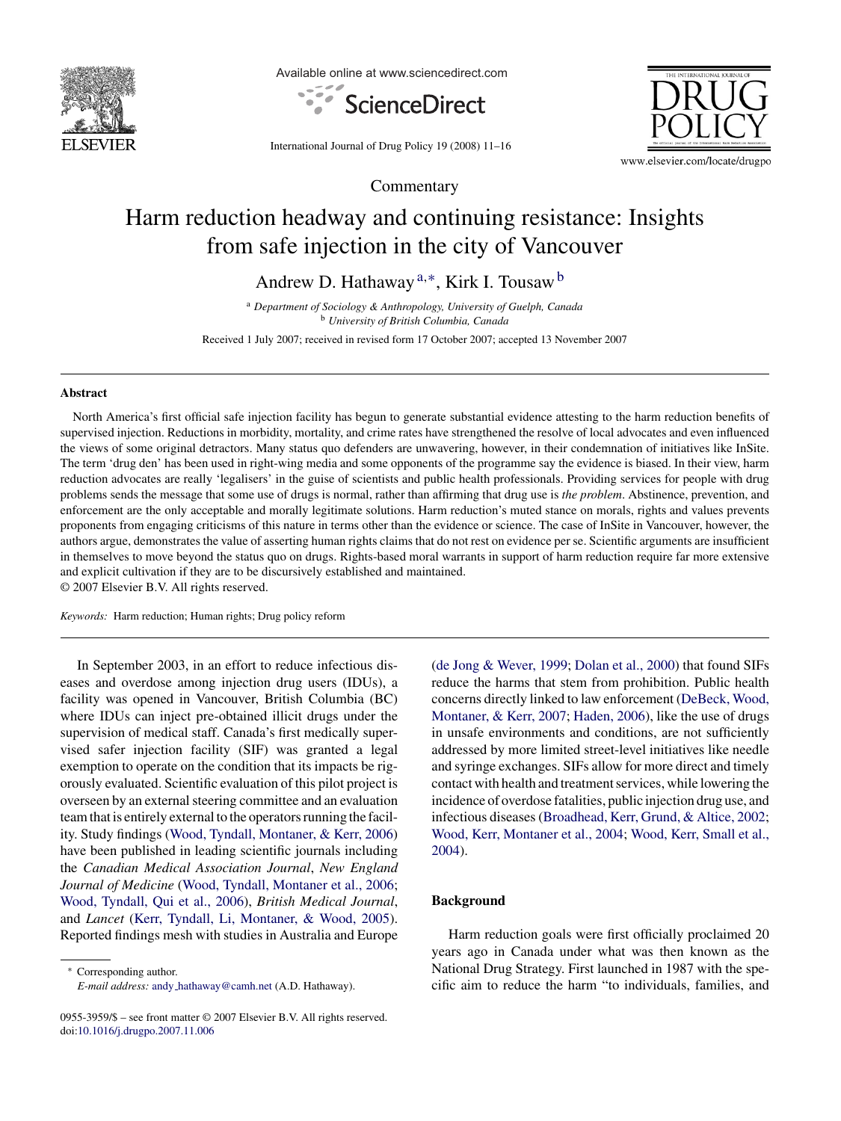

Available online at www.sciencedirect.com





International Journal of Drug Policy 19 (2008) 11–16

**Commentary** 

# Harm reduction headway and continuing resistance: Insights from safe injection in the city of Vancouver

Andrew D. Hathaway<sup>a,∗</sup>, Kirk I. Tousaw<sup>b</sup>

<sup>a</sup> *Department of Sociology & Anthropology, University of Guelph, Canada* <sup>b</sup> *University of British Columbia, Canada*

Received 1 July 2007; received in revised form 17 October 2007; accepted 13 November 2007

#### **Abstract**

North America's first official safe injection facility has begun to generate substantial evidence attesting to the harm reduction benefits of supervised injection. Reductions in morbidity, mortality, and crime rates have strengthened the resolve of local advocates and even influenced the views of some original detractors. Many status quo defenders are unwavering, however, in their condemnation of initiatives like InSite. The term 'drug den' has been used in right-wing media and some opponents of the programme say the evidence is biased. In their view, harm reduction advocates are really 'legalisers' in the guise of scientists and public health professionals. Providing services for people with drug problems sends the message that some use of drugs is normal, rather than affirming that drug use is *the problem*. Abstinence, prevention, and enforcement are the only acceptable and morally legitimate solutions. Harm reduction's muted stance on morals, rights and values prevents proponents from engaging criticisms of this nature in terms other than the evidence or science. The case of InSite in Vancouver, however, the authors argue, demonstrates the value of asserting human rights claims that do not rest on evidence per se. Scientific arguments are insufficient in themselves to move beyond the status quo on drugs. Rights-based moral warrants in support of harm reduction require far more extensive and explicit cultivation if they are to be discursively established and maintained. © 2007 Elsevier B.V. All rights reserved.

*Keywords:* Harm reduction; Human rights; Drug policy reform

In September 2003, in an effort to reduce infectious diseases and overdose among injection drug users (IDUs), a facility was opened in Vancouver, British Columbia (BC) where IDUs can inject pre-obtained illicit drugs under the supervision of medical staff. Canada's first medically supervised safer injection facility (SIF) was granted a legal exemption to operate on the condition that its impacts be rigorously evaluated. Scientific evaluation of this pilot project is overseen by an external steering committee and an evaluation team that is entirely external to the operators running the facility. Study findings [\(Wood, Tyndall, Montaner, & Kerr, 2006\)](#page-5-0) have been published in leading scientific journals including the *Canadian Medical Association Journal*, *New England Journal of Medicine* [\(Wood, Tyndall, Montaner et al., 2006;](#page-5-0) [Wood, Tyndall, Qui et al., 2006\),](#page-5-0) *British Medical Journal*, and *Lancet* ([Kerr, Tyndall, Li, Montaner, & Wood, 2005\).](#page-4-0) Reported findings mesh with studies in Australia and Europe

Corresponding author. *E-mail address:* andy [hathaway@camh.ne](mailto:andy_hathaway@camh.net)t (A.D. Hathaway). ([de Jong & Wever, 1999;](#page-4-0) [Dolan et al., 2000\)](#page-4-0) that found SIFs reduce the harms that stem from prohibition. Public health concerns directly linked to law enforcement [\(DeBeck, Wood,](#page-4-0) [Montaner, & Kerr, 2007;](#page-4-0) [Haden, 2006\),](#page-4-0) like the use of drugs in unsafe environments and conditions, are not sufficiently addressed by more limited street-level initiatives like needle and syringe exchanges. SIFs allow for more direct and timely contact with health and treatment services, while lowering the incidence of overdose fatalities, public injection drug use, and infectious diseases ([Broadhead, Kerr, Grund, & Altice, 2002;](#page-4-0) [Wood, Kerr, Montaner et al., 2004;](#page-4-0) [Wood, Kerr, Small et al.,](#page-5-0) [2004\).](#page-5-0)

## **Background**

Harm reduction goals were first officially proclaimed 20 years ago in Canada under what was then known as the National Drug Strategy. First launched in 1987 with the specific aim to reduce the harm "to individuals, families, and

<sup>0955-3959/\$ –</sup> see front matter © 2007 Elsevier B.V. All rights reserved. doi[:10.1016/j.drugpo.2007.11.006](dx.doi.org/10.1016/j.drugpo.2007.11.006)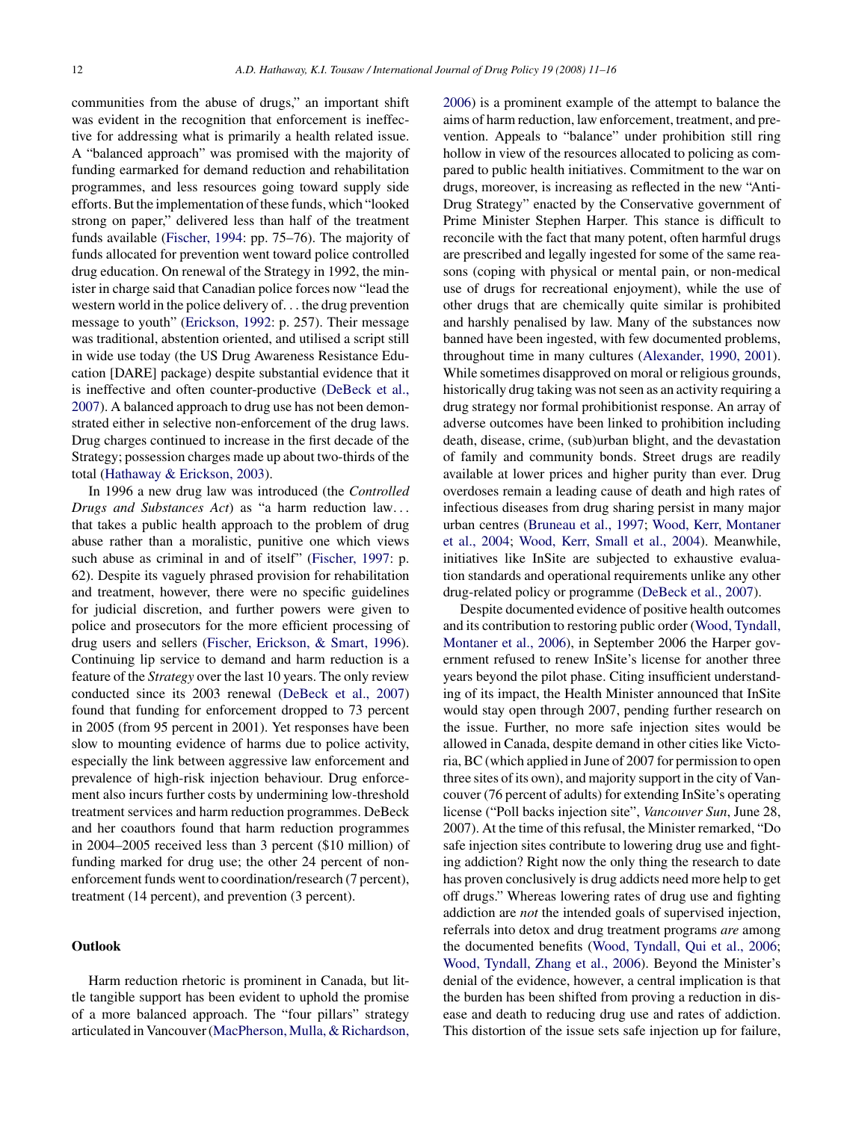communities from the abuse of drugs," an important shift was evident in the recognition that enforcement is ineffective for addressing what is primarily a health related issue. A "balanced approach" was promised with the majority of funding earmarked for demand reduction and rehabilitation programmes, and less resources going toward supply side efforts. But the implementation of these funds, which "looked strong on paper," delivered less than half of the treatment funds available ([Fischer, 1994:](#page-4-0) pp. 75–76). The majority of funds allocated for prevention went toward police controlled drug education. On renewal of the Strategy in 1992, the minister in charge said that Canadian police forces now "lead the western world in the police delivery of... the drug prevention message to youth" [\(Erickson, 1992:](#page-4-0) p. 257). Their message was traditional, abstention oriented, and utilised a script still in wide use today (the US Drug Awareness Resistance Education [DARE] package) despite substantial evidence that it is ineffective and often counter-productive [\(DeBeck et al.,](#page-4-0) [2007\).](#page-4-0) A balanced approach to drug use has not been demonstrated either in selective non-enforcement of the drug laws. Drug charges continued to increase in the first decade of the Strategy; possession charges made up about two-thirds of the total [\(Hathaway & Erickson, 2003\).](#page-4-0)

In 1996 a new drug law was introduced (the *Controlled Drugs and Substances Act*) as "a harm reduction law... that takes a public health approach to the problem of drug abuse rather than a moralistic, punitive one which views such abuse as criminal in and of itself" ([Fischer, 1997:](#page-4-0) p. 62). Despite its vaguely phrased provision for rehabilitation and treatment, however, there were no specific guidelines for judicial discretion, and further powers were given to police and prosecutors for the more efficient processing of drug users and sellers ([Fischer, Erickson, & Smart, 1996\).](#page-4-0) Continuing lip service to demand and harm reduction is a feature of the *Strategy* over the last 10 years. The only review conducted since its 2003 renewal [\(DeBeck et al., 2007\)](#page-4-0) found that funding for enforcement dropped to 73 percent in 2005 (from 95 percent in 2001). Yet responses have been slow to mounting evidence of harms due to police activity, especially the link between aggressive law enforcement and prevalence of high-risk injection behaviour. Drug enforcement also incurs further costs by undermining low-threshold treatment services and harm reduction programmes. DeBeck and her coauthors found that harm reduction programmes in 2004–2005 received less than 3 percent (\$10 million) of funding marked for drug use; the other 24 percent of nonenforcement funds went to coordination/research (7 percent), treatment (14 percent), and prevention (3 percent).

### **Outlook**

Harm reduction rhetoric is prominent in Canada, but little tangible support has been evident to uphold the promise of a more balanced approach. The "four pillars" strategy articulated in Vancouver ([MacPherson, Mulla, & Richardson,](#page-4-0) [2006\)](#page-4-0) is a prominent example of the attempt to balance the aims of harm reduction, law enforcement, treatment, and prevention. Appeals to "balance" under prohibition still ring hollow in view of the resources allocated to policing as compared to public health initiatives. Commitment to the war on drugs, moreover, is increasing as reflected in the new "Anti-Drug Strategy" enacted by the Conservative government of Prime Minister Stephen Harper. This stance is difficult to reconcile with the fact that many potent, often harmful drugs are prescribed and legally ingested for some of the same reasons (coping with physical or mental pain, or non-medical use of drugs for recreational enjoyment), while the use of other drugs that are chemically quite similar is prohibited and harshly penalised by law. Many of the substances now banned have been ingested, with few documented problems, throughout time in many cultures [\(Alexander, 1990, 2001\).](#page-4-0) While sometimes disapproved on moral or religious grounds, historically drug taking was not seen as an activity requiring a drug strategy nor formal prohibitionist response. An array of adverse outcomes have been linked to prohibition including death, disease, crime, (sub)urban blight, and the devastation of family and community bonds. Street drugs are readily available at lower prices and higher purity than ever. Drug overdoses remain a leading cause of death and high rates of infectious diseases from drug sharing persist in many major urban centres [\(Bruneau et al., 1997;](#page-4-0) [Wood, Kerr, Montaner](#page-4-0) [et al., 2004;](#page-4-0) [Wood, Kerr, Small et al., 2004\).](#page-5-0) Meanwhile, initiatives like InSite are subjected to exhaustive evaluation standards and operational requirements unlike any other drug-related policy or programme ([DeBeck et al., 2007\).](#page-4-0)

Despite documented evidence of positive health outcomes and its contribution to restoring public order [\(Wood, Tyndall,](#page-5-0) [Montaner et al., 2006\),](#page-5-0) in September 2006 the Harper government refused to renew InSite's license for another three years beyond the pilot phase. Citing insufficient understanding of its impact, the Health Minister announced that InSite would stay open through 2007, pending further research on the issue. Further, no more safe injection sites would be allowed in Canada, despite demand in other cities like Victoria, BC (which applied in June of 2007 for permission to open three sites of its own), and majority support in the city of Vancouver (76 percent of adults) for extending InSite's operating license ("Poll backs injection site", *Vancouver Sun*, June 28, 2007). At the time of this refusal, the Minister remarked, "Do safe injection sites contribute to lowering drug use and fighting addiction? Right now the only thing the research to date has proven conclusively is drug addicts need more help to get off drugs." Whereas lowering rates of drug use and fighting addiction are *not* the intended goals of supervised injection, referrals into detox and drug treatment programs *are* among the documented benefits ([Wood, Tyndall, Qui et al., 2006;](#page-5-0) [Wood, Tyndall, Zhang et al., 2006\).](#page-5-0) Beyond the Minister's denial of the evidence, however, a central implication is that the burden has been shifted from proving a reduction in disease and death to reducing drug use and rates of addiction. This distortion of the issue sets safe injection up for failure,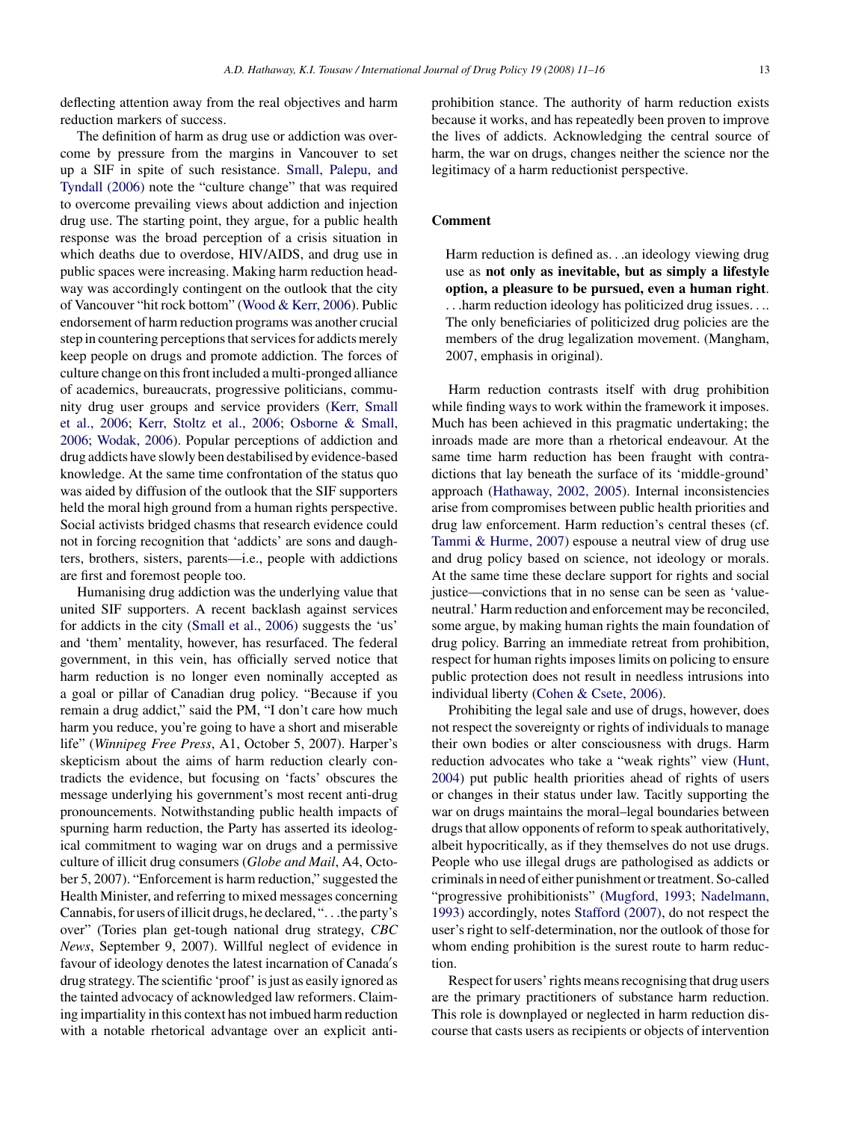deflecting attention away from the real objectives and harm reduction markers of success.

The definition of harm as drug use or addiction was overcome by pressure from the margins in Vancouver to set up a SIF in spite of such resistance. [Small, Palepu, and](#page-4-0) [Tyndall \(2006\)](#page-4-0) note the "culture change" that was required to overcome prevailing views about addiction and injection drug use. The starting point, they argue, for a public health response was the broad perception of a crisis situation in which deaths due to overdose, HIV/AIDS, and drug use in public spaces were increasing. Making harm reduction headway was accordingly contingent on the outlook that the city of Vancouver "hit rock bottom" ([Wood & Kerr, 2006\).](#page-4-0) Public endorsement of harm reduction programs was another crucial step in countering perceptions that services for addicts merely keep people on drugs and promote addiction. The forces of culture change on this front included a multi-pronged alliance of academics, bureaucrats, progressive politicians, community drug user groups and service providers [\(Kerr, Small](#page-4-0) [et al., 2006;](#page-4-0) [Kerr, Stoltz et al., 2006;](#page-4-0) [Osborne & Small,](#page-4-0) [2006;](#page-4-0) [Wodak, 2006\).](#page-4-0) Popular perceptions of addiction and drug addicts have slowly been destabilised by evidence-based knowledge. At the same time confrontation of the status quo was aided by diffusion of the outlook that the SIF supporters held the moral high ground from a human rights perspective. Social activists bridged chasms that research evidence could not in forcing recognition that 'addicts' are sons and daughters, brothers, sisters, parents—i.e., people with addictions are first and foremost people too.

Humanising drug addiction was the underlying value that united SIF supporters. A recent backlash against services for addicts in the city [\(Small et al., 2006\)](#page-4-0) suggests the 'us' and 'them' mentality, however, has resurfaced. The federal government, in this vein, has officially served notice that harm reduction is no longer even nominally accepted as a goal or pillar of Canadian drug policy. "Because if you remain a drug addict," said the PM, "I don't care how much harm you reduce, you're going to have a short and miserable life" (*Winnipeg Free Press*, A1, October 5, 2007). Harper's skepticism about the aims of harm reduction clearly contradicts the evidence, but focusing on 'facts' obscures the message underlying his government's most recent anti-drug pronouncements. Notwithstanding public health impacts of spurning harm reduction, the Party has asserted its ideological commitment to waging war on drugs and a permissive culture of illicit drug consumers (*Globe and Mail*, A4, October 5, 2007). "Enforcement is harm reduction," suggested the Health Minister, and referring to mixed messages concerning Cannabis, for users of illicit drugs, he declared, "...the party's over" (Tories plan get-tough national drug strategy, *CBC News*, September 9, 2007). Willful neglect of evidence in favour of ideology denotes the latest incarnation of Canada's drug strategy. The scientific 'proof' is just as easily ignored as the tainted advocacy of acknowledged law reformers. Claiming impartiality in this context has not imbued harm reduction with a notable rhetorical advantage over an explicit antiprohibition stance. The authority of harm reduction exists because it works, and has repeatedly been proven to improve the lives of addicts. Acknowledging the central source of harm, the war on drugs, changes neither the science nor the legitimacy of a harm reductionist perspective.

# **Comment**

Harm reduction is defined as...an ideology viewing drug use as **not only as inevitable, but as simply a lifestyle option, a pleasure to be pursued, even a human right**. ...harm reduction ideology has politicized drug issues.... The only beneficiaries of politicized drug policies are the members of the drug legalization movement. (Mangham, 2007, emphasis in original).

Harm reduction contrasts itself with drug prohibition while finding ways to work within the framework it imposes. Much has been achieved in this pragmatic undertaking; the inroads made are more than a rhetorical endeavour. At the same time harm reduction has been fraught with contradictions that lay beneath the surface of its 'middle-ground' approach [\(Hathaway, 2002, 2005\).](#page-4-0) Internal inconsistencies arise from compromises between public health priorities and drug law enforcement. Harm reduction's central theses (cf. [Tammi & Hurme, 2007\)](#page-4-0) espouse a neutral view of drug use and drug policy based on science, not ideology or morals. At the same time these declare support for rights and social justice—convictions that in no sense can be seen as 'valueneutral.' Harm reduction and enforcement may be reconciled, some argue, by making human rights the main foundation of drug policy. Barring an immediate retreat from prohibition, respect for human rights imposes limits on policing to ensure public protection does not result in needless intrusions into individual liberty [\(Cohen & Csete, 2006\).](#page-4-0)

Prohibiting the legal sale and use of drugs, however, does not respect the sovereignty or rights of individuals to manage their own bodies or alter consciousness with drugs. Harm reduction advocates who take a "weak rights" view [\(Hunt,](#page-4-0) [2004\)](#page-4-0) put public health priorities ahead of rights of users or changes in their status under law. Tacitly supporting the war on drugs maintains the moral–legal boundaries between drugs that allow opponents of reform to speak authoritatively, albeit hypocritically, as if they themselves do not use drugs. People who use illegal drugs are pathologised as addicts or criminals in need of either punishment or treatment. So-called "progressive prohibitionists" [\(Mugford, 1993; Nadelmann,](#page-4-0) [1993\)](#page-4-0) accordingly, notes [Stafford \(2007\),](#page-4-0) do not respect the user's right to self-determination, nor the outlook of those for whom ending prohibition is the surest route to harm reduction.

Respect for users' rights means recognising that drug users are the primary practitioners of substance harm reduction. This role is downplayed or neglected in harm reduction discourse that casts users as recipients or objects of intervention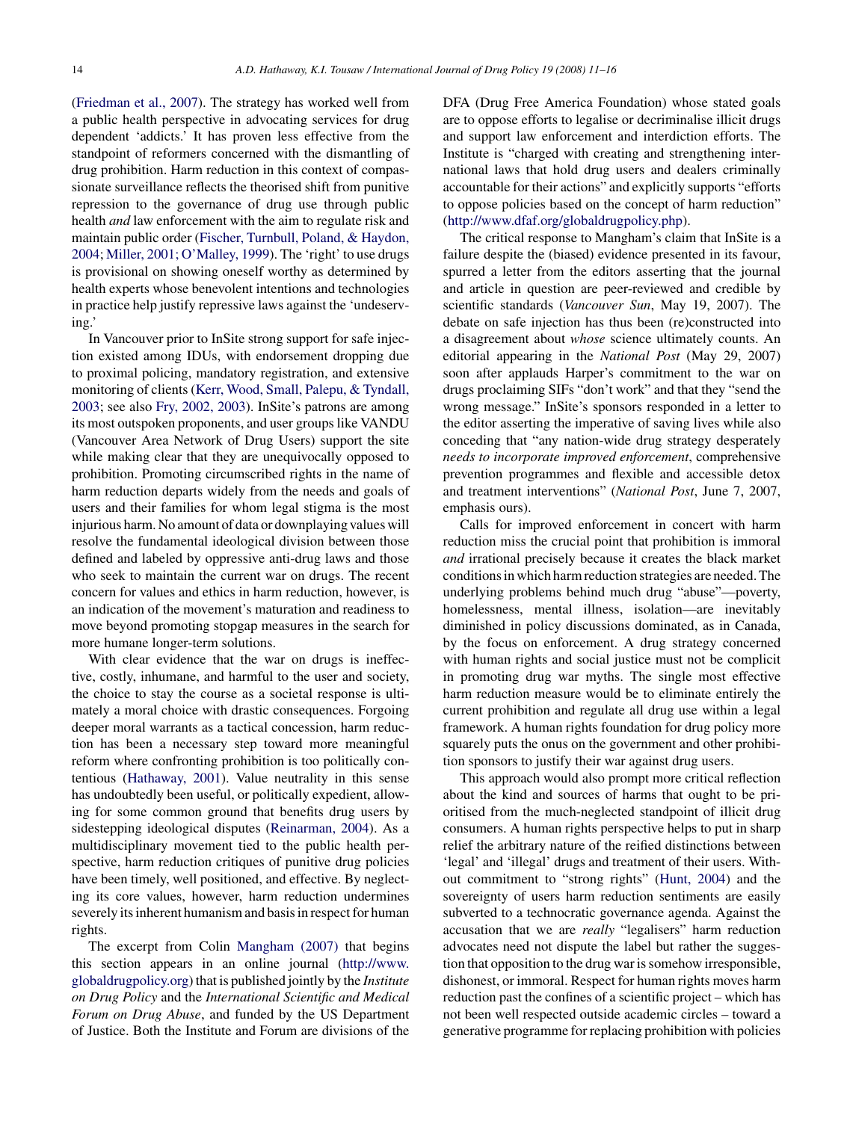[\(Friedman et al., 2007\).](#page-4-0) The strategy has worked well from a public health perspective in advocating services for drug dependent 'addicts.' It has proven less effective from the standpoint of reformers concerned with the dismantling of drug prohibition. Harm reduction in this context of compassionate surveillance reflects the theorised shift from punitive repression to the governance of drug use through public health *and* law enforcement with the aim to regulate risk and maintain public order [\(Fischer, Turnbull, Poland, & Haydon,](#page-4-0) [2004;](#page-4-0) [Miller, 2001; O'Malley, 1999\).](#page-4-0) The 'right' to use drugs is provisional on showing oneself worthy as determined by health experts whose benevolent intentions and technologies in practice help justify repressive laws against the 'undeserving.'

In Vancouver prior to InSite strong support for safe injection existed among IDUs, with endorsement dropping due to proximal policing, mandatory registration, and extensive monitoring of clients [\(Kerr, Wood, Small, Palepu, & Tyndall,](#page-4-0) [2003;](#page-4-0) see also [Fry, 2002, 2003\).](#page-4-0) InSite's patrons are among its most outspoken proponents, and user groups like VANDU (Vancouver Area Network of Drug Users) support the site while making clear that they are unequivocally opposed to prohibition. Promoting circumscribed rights in the name of harm reduction departs widely from the needs and goals of users and their families for whom legal stigma is the most injurious harm. No amount of data or downplaying values will resolve the fundamental ideological division between those defined and labeled by oppressive anti-drug laws and those who seek to maintain the current war on drugs. The recent concern for values and ethics in harm reduction, however, is an indication of the movement's maturation and readiness to move beyond promoting stopgap measures in the search for more humane longer-term solutions.

With clear evidence that the war on drugs is ineffective, costly, inhumane, and harmful to the user and society, the choice to stay the course as a societal response is ultimately a moral choice with drastic consequences. Forgoing deeper moral warrants as a tactical concession, harm reduction has been a necessary step toward more meaningful reform where confronting prohibition is too politically contentious [\(Hathaway, 2001\).](#page-4-0) Value neutrality in this sense has undoubtedly been useful, or politically expedient, allowing for some common ground that benefits drug users by sidestepping ideological disputes ([Reinarman, 2004\).](#page-4-0) As a multidisciplinary movement tied to the public health perspective, harm reduction critiques of punitive drug policies have been timely, well positioned, and effective. By neglecting its core values, however, harm reduction undermines severely its inherent humanism and basis in respect for human rights.

The excerpt from Colin [Mangham \(2007\)](#page-4-0) that begins this section appears in an online journal ([http://www.](http://www.globaldrugpolicy.org/) [globaldrugpolicy.org\)](http://www.globaldrugpolicy.org/) that is published jointly by the *Institute on Drug Policy* and the *International Scientific and Medical Forum on Drug Abuse*, and funded by the US Department of Justice. Both the Institute and Forum are divisions of the

DFA (Drug Free America Foundation) whose stated goals are to oppose efforts to legalise or decriminalise illicit drugs and support law enforcement and interdiction efforts. The Institute is "charged with creating and strengthening international laws that hold drug users and dealers criminally accountable for their actions" and explicitly supports "efforts to oppose policies based on the concept of harm reduction" [\(http://www.dfaf.org/globaldrugpolicy.php](http://www.dfaf.org/globaldrugpolicy.php)).

The critical response to Mangham's claim that InSite is a failure despite the (biased) evidence presented in its favour, spurred a letter from the editors asserting that the journal and article in question are peer-reviewed and credible by scientific standards (*Vancouver Sun*, May 19, 2007). The debate on safe injection has thus been (re)constructed into a disagreement about *whose* science ultimately counts. An editorial appearing in the *National Post* (May 29, 2007) soon after applauds Harper's commitment to the war on drugs proclaiming SIFs "don't work" and that they "send the wrong message." InSite's sponsors responded in a letter to the editor asserting the imperative of saving lives while also conceding that "any nation-wide drug strategy desperately *needs to incorporate improved enforcement*, comprehensive prevention programmes and flexible and accessible detox and treatment interventions" (*National Post*, June 7, 2007, emphasis ours).

Calls for improved enforcement in concert with harm reduction miss the crucial point that prohibition is immoral *and* irrational precisely because it creates the black market conditions in which harm reduction strategies are needed. The underlying problems behind much drug "abuse"—poverty, homelessness, mental illness, isolation—are inevitably diminished in policy discussions dominated, as in Canada, by the focus on enforcement. A drug strategy concerned with human rights and social justice must not be complicit in promoting drug war myths. The single most effective harm reduction measure would be to eliminate entirely the current prohibition and regulate all drug use within a legal framework. A human rights foundation for drug policy more squarely puts the onus on the government and other prohibition sponsors to justify their war against drug users.

This approach would also prompt more critical reflection about the kind and sources of harms that ought to be prioritised from the much-neglected standpoint of illicit drug consumers. A human rights perspective helps to put in sharp relief the arbitrary nature of the reified distinctions between 'legal' and 'illegal' drugs and treatment of their users. Without commitment to "strong rights" [\(Hunt, 2004\)](#page-4-0) and the sovereignty of users harm reduction sentiments are easily subverted to a technocratic governance agenda. Against the accusation that we are *really* "legalisers" harm reduction advocates need not dispute the label but rather the suggestion that opposition to the drug war is somehow irresponsible, dishonest, or immoral. Respect for human rights moves harm reduction past the confines of a scientific project – which has not been well respected outside academic circles – toward a generative programme for replacing prohibition with policies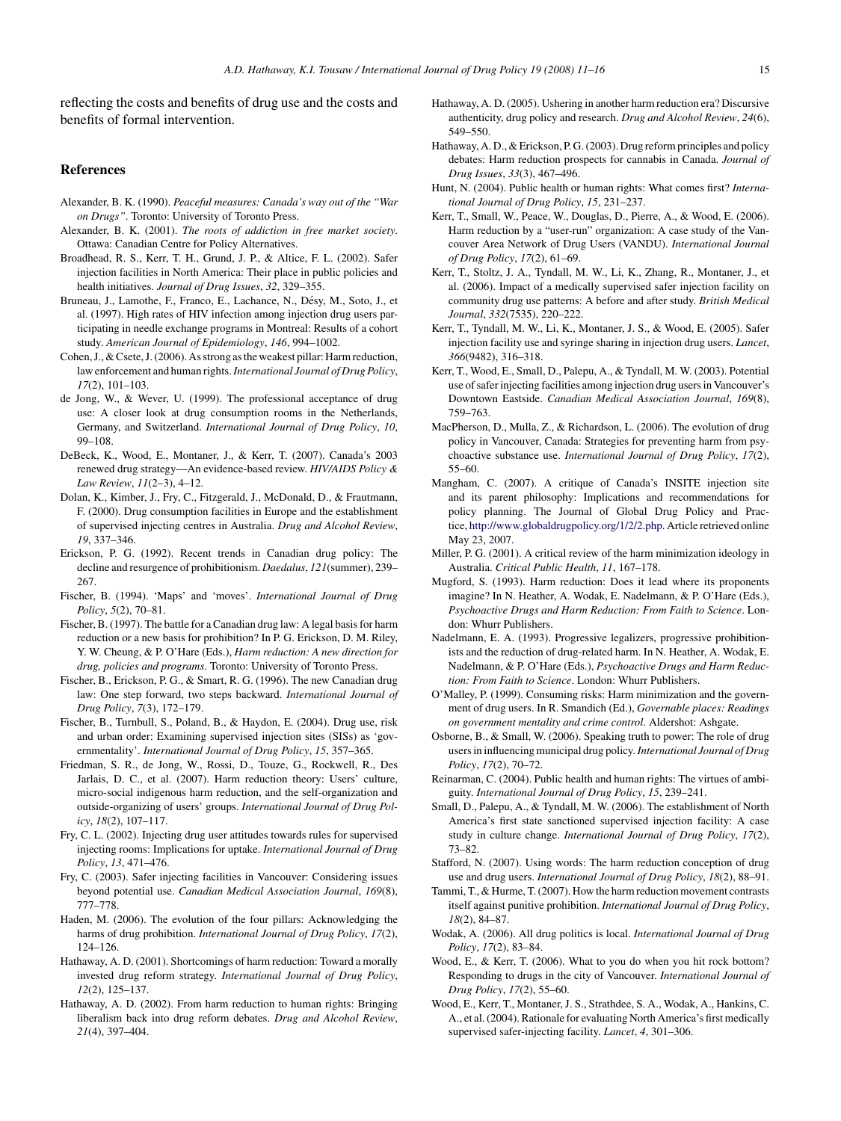<span id="page-4-0"></span>reflecting the costs and benefits of drug use and the costs and benefits of formal intervention.

#### **References**

- Alexander, B. K. (1990). *Peaceful measures: Canada's way out of the "War on Drugs"*. Toronto: University of Toronto Press.
- Alexander, B. K. (2001). *The roots of addiction in free market society*. Ottawa: Canadian Centre for Policy Alternatives.
- Broadhead, R. S., Kerr, T. H., Grund, J. P., & Altice, F. L. (2002). Safer injection facilities in North America: Their place in public policies and health initiatives. *Journal of Drug Issues*, *32*, 329–355.
- Bruneau, J., Lamothe, F., Franco, E., Lachance, N., Désy, M., Soto, J., et al. (1997). High rates of HIV infection among injection drug users participating in needle exchange programs in Montreal: Results of a cohort study. *American Journal of Epidemiology*, *146*, 994–1002.
- Cohen, J., & Csete, J. (2006). As strong as the weakest pillar: Harm reduction, law enforcement and human rights.*International Journal of Drug Policy*, *17*(2), 101–103.
- de Jong, W., & Wever, U. (1999). The professional acceptance of drug use: A closer look at drug consumption rooms in the Netherlands, Germany, and Switzerland. *International Journal of Drug Policy*, *10*, 99–108.
- DeBeck, K., Wood, E., Montaner, J., & Kerr, T. (2007). Canada's 2003 renewed drug strategy—An evidence-based review. *HIV/AIDS Policy & Law Review*, *11*(2–3), 4–12.
- Dolan, K., Kimber, J., Fry, C., Fitzgerald, J., McDonald, D., & Frautmann, F. (2000). Drug consumption facilities in Europe and the establishment of supervised injecting centres in Australia. *Drug and Alcohol Review*, *19*, 337–346.
- Erickson, P. G. (1992). Recent trends in Canadian drug policy: The decline and resurgence of prohibitionism. *Daedalus*, *121*(summer), 239– 267.
- Fischer, B. (1994). 'Maps' and 'moves'. *International Journal of Drug Policy*, *5*(2), 70–81.
- Fischer, B. (1997). The battle for a Canadian drug law: A legal basis for harm reduction or a new basis for prohibition? In P. G. Erickson, D. M. Riley, Y. W. Cheung, & P. O'Hare (Eds.), *Harm reduction: A new direction for drug, policies and programs*. Toronto: University of Toronto Press.
- Fischer, B., Erickson, P. G., & Smart, R. G. (1996). The new Canadian drug law: One step forward, two steps backward. *International Journal of Drug Policy*, *7*(3), 172–179.
- Fischer, B., Turnbull, S., Poland, B., & Haydon, E. (2004). Drug use, risk and urban order: Examining supervised injection sites (SISs) as 'governmentality'. *International Journal of Drug Policy*, *15*, 357–365.
- Friedman, S. R., de Jong, W., Rossi, D., Touze, G., Rockwell, R., Des Jarlais, D. C., et al. (2007). Harm reduction theory: Users' culture, micro-social indigenous harm reduction, and the self-organization and outside-organizing of users' groups. *International Journal of Drug Policy*, *18*(2), 107–117.
- Fry, C. L. (2002). Injecting drug user attitudes towards rules for supervised injecting rooms: Implications for uptake. *International Journal of Drug Policy*, *13*, 471–476.
- Fry, C. (2003). Safer injecting facilities in Vancouver: Considering issues beyond potential use. *Canadian Medical Association Journal*, *169*(8), 777–778.
- Haden, M. (2006). The evolution of the four pillars: Acknowledging the harms of drug prohibition. *International Journal of Drug Policy*, *17*(2), 124–126.
- Hathaway, A. D. (2001). Shortcomings of harm reduction: Toward a morally invested drug reform strategy. *International Journal of Drug Policy*, *12*(2), 125–137.
- Hathaway, A. D. (2002). From harm reduction to human rights: Bringing liberalism back into drug reform debates. *Drug and Alcohol Review*, *21*(4), 397–404.
- Hathaway, A. D. (2005). Ushering in another harm reduction era? Discursive authenticity, drug policy and research. *Drug and Alcohol Review*, *24*(6), 549–550.
- Hathaway, A. D., & Erickson, P. G. (2003). Drug reform principles and policy debates: Harm reduction prospects for cannabis in Canada. *Journal of Drug Issues*, *33*(3), 467–496.
- Hunt, N. (2004). Public health or human rights: What comes first? *International Journal of Drug Policy*, *15*, 231–237.
- Kerr, T., Small, W., Peace, W., Douglas, D., Pierre, A., & Wood, E. (2006). Harm reduction by a "user-run" organization: A case study of the Vancouver Area Network of Drug Users (VANDU). *International Journal of Drug Policy*, *17*(2), 61–69.
- Kerr, T., Stoltz, J. A., Tyndall, M. W., Li, K., Zhang, R., Montaner, J., et al. (2006). Impact of a medically supervised safer injection facility on community drug use patterns: A before and after study. *British Medical Journal*, *332*(7535), 220–222.
- Kerr, T., Tyndall, M. W., Li, K., Montaner, J. S., & Wood, E. (2005). Safer injection facility use and syringe sharing in injection drug users. *Lancet*, *366*(9482), 316–318.
- Kerr, T., Wood, E., Small, D., Palepu, A., & Tyndall, M. W. (2003). Potential use of safer injecting facilities among injection drug users in Vancouver's Downtown Eastside. *Canadian Medical Association Journal*, *169*(8), 759–763.
- MacPherson, D., Mulla, Z., & Richardson, L. (2006). The evolution of drug policy in Vancouver, Canada: Strategies for preventing harm from psychoactive substance use. *International Journal of Drug Policy*, *17*(2), 55–60.
- Mangham, C. (2007). A critique of Canada's INSITE injection site and its parent philosophy: Implications and recommendations for policy planning. The Journal of Global Drug Policy and Practice, [http://www.globaldrugpolicy.org/1/2/2.php.](http://www.globaldrugpolicy.org/1/2/2.php) Article retrieved online May 23, 2007.
- Miller, P. G. (2001). A critical review of the harm minimization ideology in Australia. *Critical Public Health*, *11*, 167–178.
- Mugford, S. (1993). Harm reduction: Does it lead where its proponents imagine? In N. Heather, A. Wodak, E. Nadelmann, & P. O'Hare (Eds.), *Psychoactive Drugs and Harm Reduction: From Faith to Science*. London: Whurr Publishers.
- Nadelmann, E. A. (1993). Progressive legalizers, progressive prohibitionists and the reduction of drug-related harm. In N. Heather, A. Wodak, E. Nadelmann, & P. O'Hare (Eds.), *Psychoactive Drugs and Harm Reduction: From Faith to Science*. London: Whurr Publishers.
- O'Malley, P. (1999). Consuming risks: Harm minimization and the government of drug users. In R. Smandich (Ed.), *Governable places: Readings on government mentality and crime control*. Aldershot: Ashgate.
- Osborne, B., & Small, W. (2006). Speaking truth to power: The role of drug users in influencing municipal drug policy.*International Journal of Drug Policy*, *17*(2), 70–72.
- Reinarman, C. (2004). Public health and human rights: The virtues of ambiguity. *International Journal of Drug Policy*, *15*, 239–241.
- Small, D., Palepu, A., & Tyndall, M. W. (2006). The establishment of North America's first state sanctioned supervised injection facility: A case study in culture change. *International Journal of Drug Policy*, *17*(2), 73–82.
- Stafford, N. (2007). Using words: The harm reduction conception of drug use and drug users. *International Journal of Drug Policy*, *18*(2), 88–91.
- Tammi, T., & Hurme, T. (2007). How the harm reduction movement contrasts itself against punitive prohibition. *International Journal of Drug Policy*, *18*(2), 84–87.
- Wodak, A. (2006). All drug politics is local. *International Journal of Drug Policy*, *17*(2), 83–84.
- Wood, E., & Kerr, T. (2006). What to you do when you hit rock bottom? Responding to drugs in the city of Vancouver. *International Journal of Drug Policy*, *17*(2), 55–60.
- Wood, E., Kerr, T., Montaner, J. S., Strathdee, S. A., Wodak, A., Hankins, C. A., et al. (2004). Rationale for evaluating North America's first medically supervised safer-injecting facility. *Lancet*, *4*, 301–306.